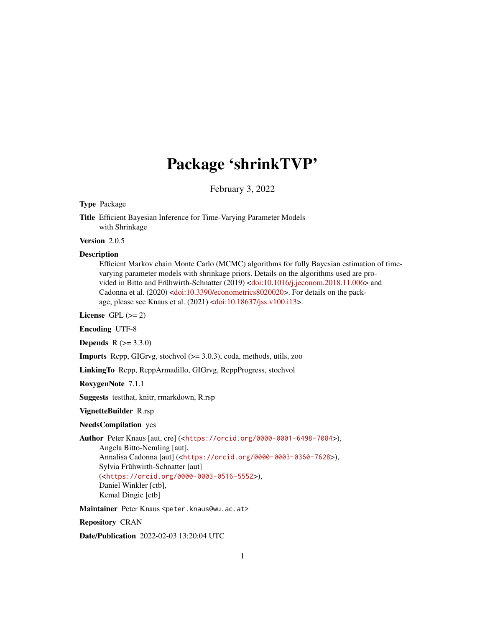# Package 'shrinkTVP'

February 3, 2022

#### <span id="page-0-0"></span>Type Package

Title Efficient Bayesian Inference for Time-Varying Parameter Models with Shrinkage

Version 2.0.5

#### **Description**

Efficient Markov chain Monte Carlo (MCMC) algorithms for fully Bayesian estimation of timevarying parameter models with shrinkage priors. Details on the algorithms used are provided in Bitto and Frühwirth-Schnatter (2019) [<doi:10.1016/j.jeconom.2018.11.006>](https://doi.org/10.1016/j.jeconom.2018.11.006) and Cadonna et al. (2020) [<doi:10.3390/econometrics8020020>](https://doi.org/10.3390/econometrics8020020). For details on the package, please see Knaus et al. (2021) [<doi:10.18637/jss.v100.i13>](https://doi.org/10.18637/jss.v100.i13).

License GPL  $(>= 2)$ 

Encoding UTF-8

**Depends**  $R (= 3.3.0)$ 

Imports Rcpp, GIGrvg, stochvol (>= 3.0.3), coda, methods, utils, zoo

LinkingTo Rcpp, RcppArmadillo, GIGrvg, RcppProgress, stochvol

RoxygenNote 7.1.1

Suggests testthat, knitr, rmarkdown, R.rsp

VignetteBuilder R.rsp

#### NeedsCompilation yes

Author Peter Knaus [aut, cre] (<<https://orcid.org/0000-0001-6498-7084>>), Angela Bitto-Nemling [aut], Annalisa Cadonna [aut] (<<https://orcid.org/0000-0003-0360-7628>>), Sylvia Frühwirth-Schnatter [aut] (<<https://orcid.org/0000-0003-0516-5552>>), Daniel Winkler [ctb], Kemal Dingic [ctb]

Maintainer Peter Knaus <peter.knaus@wu.ac.at>

Repository CRAN

Date/Publication 2022-02-03 13:20:04 UTC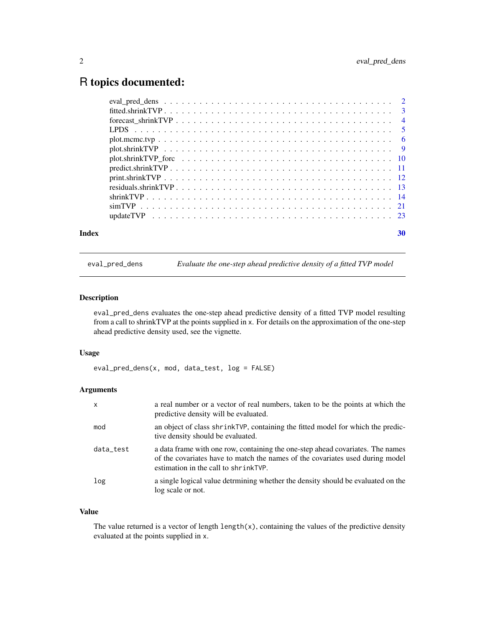# <span id="page-1-0"></span>R topics documented:

<span id="page-1-1"></span>eval\_pred\_dens *Evaluate the one-step ahead predictive density of a fitted TVP model*

#### Description

eval\_pred\_dens evaluates the one-step ahead predictive density of a fitted TVP model resulting from a call to shrinkTVP at the points supplied in x. For details on the approximation of the one-step ahead predictive density used, see the vignette.

# Usage

eval\_pred\_dens(x, mod, data\_test, log = FALSE)

## Arguments

| x         | a real number or a vector of real numbers, taken to be the points at which the<br>predictive density will be evaluated.                                                                                  |
|-----------|----------------------------------------------------------------------------------------------------------------------------------------------------------------------------------------------------------|
| mod       | an object of class shrinkTVP, containing the fitted model for which the predic-<br>tive density should be evaluated.                                                                                     |
| data_test | a data frame with one row, containing the one-step ahead covariates. The names<br>of the covariates have to match the names of the covariates used during model<br>estimation in the call to shrink TVP. |
| log       | a single logical value determining whether the density should be evaluated on the<br>log scale or not.                                                                                                   |

#### Value

The value returned is a vector of length  $l$ ength $(x)$ , containing the values of the predictive density evaluated at the points supplied in x.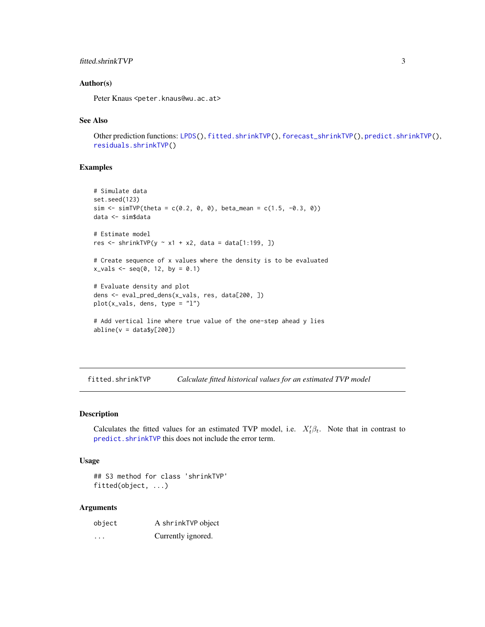#### <span id="page-2-0"></span>fitted.shrinkTVP 3

#### Author(s)

Peter Knaus <peter.knaus@wu.ac.at>

#### See Also

Other prediction functions: [LPDS\(](#page-4-1)), [fitted.shrinkTVP\(](#page-2-1)), [forecast\\_shrinkTVP\(](#page-3-1)), [predict.shrinkTVP\(](#page-10-1)), [residuals.shrinkTVP\(](#page-12-1))

#### Examples

```
# Simulate data
set.seed(123)
sim <- simTVP(theta = c(0.2, 0, 0), beta_mean = c(1.5, -0.3, 0))
data <- sim$data
# Estimate model
res \le shrinkTVP(y \sim x1 + x2, data = data[1:199, ])
# Create sequence of x values where the density is to be evaluated
x_vals \leq -seq(0, 12, by = 0.1)# Evaluate density and plot
dens <- eval_pred_dens(x_vals, res, data[200, ])
plot(x_vals, dens, type = "l")
```

```
# Add vertical line where true value of the one-step ahead y lies
abline(v = data\$(1200])
```
<span id="page-2-1"></span>fitted.shrinkTVP *Calculate fitted historical values for an estimated TVP model*

#### Description

Calculates the fitted values for an estimated TVP model, i.e.  $X_t^{\prime} \beta_t$ . Note that in contrast to [predict.shrinkTVP](#page-10-1) this does not include the error term.

#### Usage

## S3 method for class 'shrinkTVP' fitted(object, ...)

| object   | A shrinkTVP object |
|----------|--------------------|
| $\cdots$ | Currently ignored. |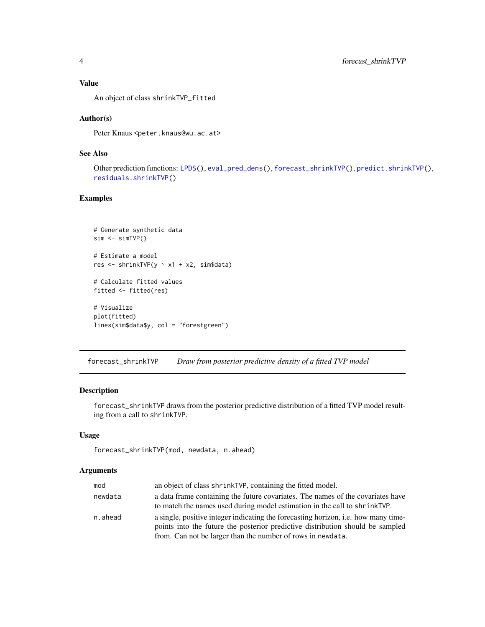<span id="page-3-0"></span>An object of class shrinkTVP\_fitted

#### Author(s)

Peter Knaus <peter.knaus@wu.ac.at>

# See Also

Other prediction functions: [LPDS\(](#page-4-1)), [eval\\_pred\\_dens\(](#page-1-1)), [forecast\\_shrinkTVP\(](#page-3-1)), [predict.shrinkTVP\(](#page-10-1)), [residuals.shrinkTVP\(](#page-12-1))

#### Examples

```
# Generate synthetic data
sim <- simTVP()
# Estimate a model
res <- shrinkTVP(y ~ x1 + x2, sim$data)
# Calculate fitted values
fitted <- fitted(res)
# Visualize
plot(fitted)
lines(sim$data$y, col = "forestgreen")
```
<span id="page-3-1"></span>forecast\_shrinkTVP *Draw from posterior predictive density of a fitted TVP model*

#### Description

forecast\_shrinkTVP draws from the posterior predictive distribution of a fitted TVP model resulting from a call to shrinkTVP.

# Usage

forecast\_shrinkTVP(mod, newdata, n.ahead)

| mod     | an object of class shrinkTVP, containing the fitted model.                                                                                                                                                                                 |
|---------|--------------------------------------------------------------------------------------------------------------------------------------------------------------------------------------------------------------------------------------------|
| newdata | a data frame containing the future covariates. The names of the covariates have<br>to match the names used during model estimation in the call to shrink TVP.                                                                              |
| n.ahead | a single, positive integer indicating the forecasting horizon, <i>i.e.</i> how many time-<br>points into the future the posterior predictive distribution should be sampled<br>from. Can not be larger than the number of rows in newdata. |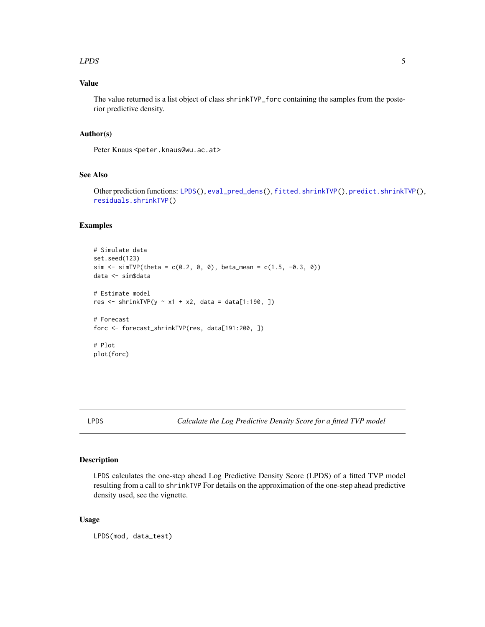#### <span id="page-4-0"></span> $LPDS$  5

#### Value

The value returned is a list object of class shrinkTVP\_forc containing the samples from the posterior predictive density.

#### Author(s)

Peter Knaus <peter.knaus@wu.ac.at>

# See Also

Other prediction functions: [LPDS\(](#page-4-1)), [eval\\_pred\\_dens\(](#page-1-1)), [fitted.shrinkTVP\(](#page-2-1)), [predict.shrinkTVP\(](#page-10-1)), [residuals.shrinkTVP\(](#page-12-1))

#### Examples

```
# Simulate data
set.seed(123)
sim < sumTVP(theta = c(0.2, 0, 0), beta_mean = c(1.5, -0.3, 0))data <- sim$data
# Estimate model
res \le shrinkTVP(y \sim x1 + x2, data = data[1:190, ])
# Forecast
forc <- forecast_shrinkTVP(res, data[191:200, ])
# Plot
plot(forc)
```
<span id="page-4-1"></span>

LPDS *Calculate the Log Predictive Density Score for a fitted TVP model*

#### Description

LPDS calculates the one-step ahead Log Predictive Density Score (LPDS) of a fitted TVP model resulting from a call to shrinkTVP For details on the approximation of the one-step ahead predictive density used, see the vignette.

#### Usage

LPDS(mod, data\_test)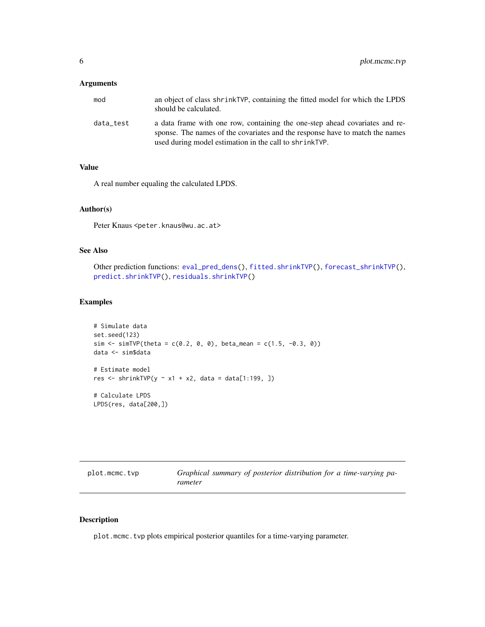#### <span id="page-5-0"></span>Arguments

| mod       | an object of class shrinkTVP, containing the fitted model for which the LPDS<br>should be calculated.                                                                                                                  |
|-----------|------------------------------------------------------------------------------------------------------------------------------------------------------------------------------------------------------------------------|
| data_test | a data frame with one row, containing the one-step ahead covariates and re-<br>sponse. The names of the covariates and the response have to match the names<br>used during model estimation in the call to shrink TVP. |

#### Value

A real number equaling the calculated LPDS.

#### Author(s)

Peter Knaus <peter.knaus@wu.ac.at>

#### See Also

Other prediction functions: [eval\\_pred\\_dens\(](#page-1-1)), [fitted.shrinkTVP\(](#page-2-1)), [forecast\\_shrinkTVP\(](#page-3-1)), [predict.shrinkTVP\(](#page-10-1)), [residuals.shrinkTVP\(](#page-12-1))

#### Examples

```
# Simulate data
set.seed(123)
sim <- simTVP(theta = c(0.2, 0, 0), beta_mean = c(1.5, -0.3, 0))
data <- sim$data
# Estimate model
res <- shrinkTVP(y \sim x1 + x2, data = data[1:199, ])
# Calculate LPDS
LPDS(res, data[200,])
```
<span id="page-5-1"></span>

| plot.mcmc.tvp | Graphical summary of posterior distribution for a time-varying pa- |
|---------------|--------------------------------------------------------------------|
|               | rameter                                                            |

#### Description

plot.mcmc.tvp plots empirical posterior quantiles for a time-varying parameter.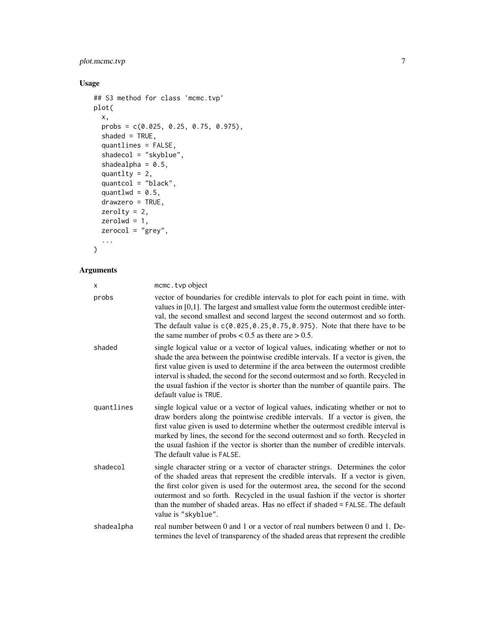# plot.mcmc.tvp 7

# Usage

```
## S3 method for class 'mcmc.tvp'
plot(
  x,
  probs = c(0.025, 0.25, 0.75, 0.975),
  shaded = TRUE,
  quantlines = FALSE,
  shadecol = "skyblue",
  shadealpha = 0.5,
  quantlty = 2,
  quantcol = "black",
  quantlwd = 0.5,
  drawzero = TRUE,
  zerolty = 2,
  zerolwd = 1,
  zerocol = "grey",
  ...
\mathcal{L}
```

| x          | mcmc.tvp object                                                                                                                                                                                                                                                                                                                                                                                                                                                 |
|------------|-----------------------------------------------------------------------------------------------------------------------------------------------------------------------------------------------------------------------------------------------------------------------------------------------------------------------------------------------------------------------------------------------------------------------------------------------------------------|
| probs      | vector of boundaries for credible intervals to plot for each point in time, with<br>values in $[0,1]$ . The largest and smallest value form the outermost credible inter-<br>val, the second smallest and second largest the second outermost and so forth.<br>The default value is $c(0.025, 0.25, 0.75, 0.975)$ . Note that there have to be<br>the same number of probs $< 0.5$ as there are $> 0.5$ .                                                       |
| shaded     | single logical value or a vector of logical values, indicating whether or not to<br>shade the area between the pointwise credible intervals. If a vector is given, the<br>first value given is used to determine if the area between the outermost credible<br>interval is shaded, the second for the second outermost and so forth. Recycled in<br>the usual fashion if the vector is shorter than the number of quantile pairs. The<br>default value is TRUE. |
| quantlines | single logical value or a vector of logical values, indicating whether or not to<br>draw borders along the pointwise credible intervals. If a vector is given, the<br>first value given is used to determine whether the outermost credible interval is<br>marked by lines, the second for the second outermost and so forth. Recycled in<br>the usual fashion if the vector is shorter than the number of credible intervals.<br>The default value is FALSE.   |
| shadecol   | single character string or a vector of character strings. Determines the color<br>of the shaded areas that represent the credible intervals. If a vector is given,<br>the first color given is used for the outermost area, the second for the second<br>outermost and so forth. Recycled in the usual fashion if the vector is shorter<br>than the number of shaded areas. Has no effect if shaded = FALSE. The default<br>value is "skyblue".                 |
| shadealpha | real number between 0 and 1 or a vector of real numbers between 0 and 1. De-<br>termines the level of transparency of the shaded areas that represent the credible                                                                                                                                                                                                                                                                                              |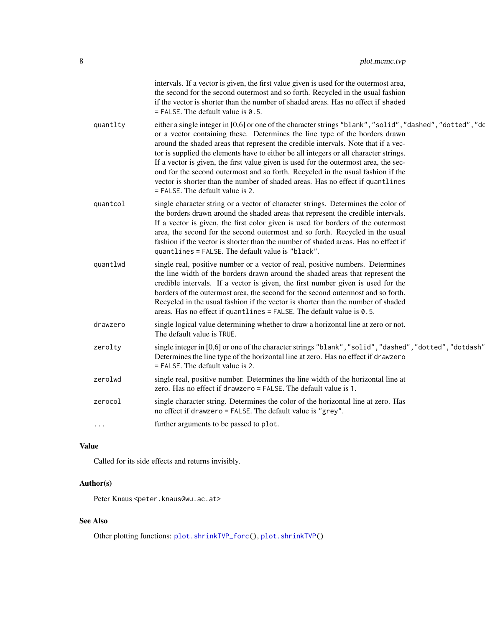<span id="page-7-0"></span>

|          | intervals. If a vector is given, the first value given is used for the outermost area,<br>the second for the second outermost and so forth. Recycled in the usual fashion<br>if the vector is shorter than the number of shaded areas. Has no effect if shaded<br>$=$ FALSE. The default value is 0.5.                                                                                                                                                                                                                                                                                                                                                                      |
|----------|-----------------------------------------------------------------------------------------------------------------------------------------------------------------------------------------------------------------------------------------------------------------------------------------------------------------------------------------------------------------------------------------------------------------------------------------------------------------------------------------------------------------------------------------------------------------------------------------------------------------------------------------------------------------------------|
| quantlty | either a single integer in [0,6] or one of the character strings "blank", "solid", "dashed", "dotted", "do<br>or a vector containing these. Determines the line type of the borders drawn<br>around the shaded areas that represent the credible intervals. Note that if a vec-<br>tor is supplied the elements have to either be all integers or all character strings.<br>If a vector is given, the first value given is used for the outermost area, the sec-<br>ond for the second outermost and so forth. Recycled in the usual fashion if the<br>vector is shorter than the number of shaded areas. Has no effect if quantlines<br>$=$ FALSE. The default value is 2. |
| quantcol | single character string or a vector of character strings. Determines the color of<br>the borders drawn around the shaded areas that represent the credible intervals.<br>If a vector is given, the first color given is used for borders of the outermost<br>area, the second for the second outermost and so forth. Recycled in the usual<br>fashion if the vector is shorter than the number of shaded areas. Has no effect if<br>quantlines = FALSE. The default value is "black".                                                                                                                                                                                       |
| quantlwd | single real, positive number or a vector of real, positive numbers. Determines<br>the line width of the borders drawn around the shaded areas that represent the<br>credible intervals. If a vector is given, the first number given is used for the<br>borders of the outermost area, the second for the second outermost and so forth.<br>Recycled in the usual fashion if the vector is shorter than the number of shaded<br>areas. Has no effect if quantlines = $FALSE$ . The default value is $0.5$ .                                                                                                                                                                 |
| drawzero | single logical value determining whether to draw a horizontal line at zero or not.<br>The default value is TRUE.                                                                                                                                                                                                                                                                                                                                                                                                                                                                                                                                                            |
| zerolty  | single integer in [0,6] or one of the character strings "blank", "solid", "dashed", "dotted", "dotdash"<br>Determines the line type of the horizontal line at zero. Has no effect if drawzero<br>= FALSE. The default value is 2.                                                                                                                                                                                                                                                                                                                                                                                                                                           |
| zerolwd  | single real, positive number. Determines the line width of the horizontal line at<br>zero. Has no effect if drawzero $=$ FALSE. The default value is 1.                                                                                                                                                                                                                                                                                                                                                                                                                                                                                                                     |
| zerocol  | single character string. Determines the color of the horizontal line at zero. Has<br>no effect if drawzero = FALSE. The default value is "grey".                                                                                                                                                                                                                                                                                                                                                                                                                                                                                                                            |
| $\cdot$  | further arguments to be passed to plot.                                                                                                                                                                                                                                                                                                                                                                                                                                                                                                                                                                                                                                     |

# Value

Called for its side effects and returns invisibly.

# Author(s)

Peter Knaus <peter.knaus@wu.ac.at>

# See Also

Other plotting functions: [plot.shrinkTVP\\_forc\(](#page-9-1)), [plot.shrinkTVP\(](#page-8-1))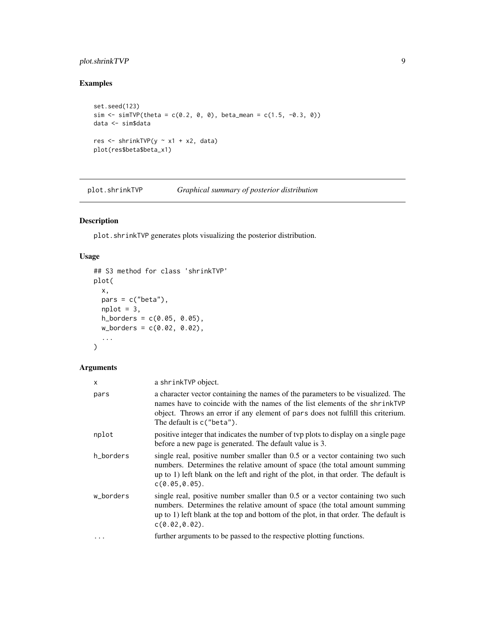# <span id="page-8-0"></span>plot.shrinkTVP 9

# Examples

```
set.seed(123)
sim <- simTVP(theta = c(0.2, 0, 0), beta_mean = c(1.5, -0.3, 0))
data <- sim$data
res <- shrinkTVP(y ~ x1 + x2, data)
plot(res$beta$beta_x1)
```
<span id="page-8-1"></span>plot.shrinkTVP *Graphical summary of posterior distribution*

# Description

plot.shrinkTVP generates plots visualizing the posterior distribution.

#### Usage

```
## S3 method for class 'shrinkTVP'
plot(
  x,
  pars = c("beta"),nplot = 3,
  h_borders = c(0.05, 0.05),
  w_borders = c(0.02, 0.02),
  ...
\mathcal{L}
```

| X         | a shrinkTVP object.                                                                                                                                                                                                                                                            |
|-----------|--------------------------------------------------------------------------------------------------------------------------------------------------------------------------------------------------------------------------------------------------------------------------------|
| pars      | a character vector containing the names of the parameters to be visualized. The<br>names have to coincide with the names of the list elements of the shrinkTVP<br>object. Throws an error if any element of pars does not fulfill this criterium.<br>The default is c("beta"). |
| nplot     | positive integer that indicates the number of typ plots to display on a single page<br>before a new page is generated. The default value is 3.                                                                                                                                 |
| h_borders | single real, positive number smaller than 0.5 or a vector containing two such<br>numbers. Determines the relative amount of space (the total amount summing<br>up to 1) left blank on the left and right of the plot, in that order. The default is<br>$C(0.05, 0.05)$ .       |
| w_borders | single real, positive number smaller than 0.5 or a vector containing two such<br>numbers. Determines the relative amount of space (the total amount summing<br>up to 1) left blank at the top and bottom of the plot, in that order. The default is<br>$c(0.02, 0.02)$ .       |
| $\ddots$  | further arguments to be passed to the respective plotting functions.                                                                                                                                                                                                           |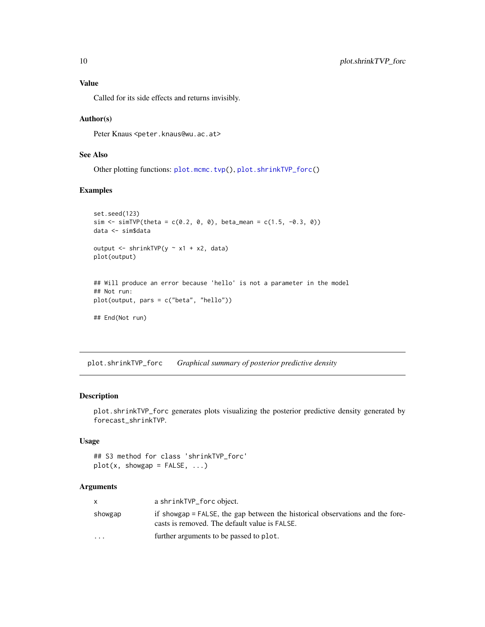# <span id="page-9-0"></span>Value

Called for its side effects and returns invisibly.

#### Author(s)

Peter Knaus <peter.knaus@wu.ac.at>

#### See Also

Other plotting functions: [plot.mcmc.tvp\(](#page-5-1)), [plot.shrinkTVP\\_forc\(](#page-9-1))

#### Examples

```
set.seed(123)
sim <- simTVP(theta = c(0.2, 0, 0), beta_mean = c(1.5, -0.3, 0))
data <- sim$data
output \le shrinkTVP(y \sim x1 + x2, data)
plot(output)
## Will produce an error because 'hello' is not a parameter in the model
## Not run:
plot(output, pars = c("beta", "hello"))
## End(Not run)
```
<span id="page-9-1"></span>plot.shrinkTVP\_forc *Graphical summary of posterior predictive density*

#### Description

plot.shrinkTVP\_forc generates plots visualizing the posterior predictive density generated by forecast\_shrinkTVP.

#### Usage

## S3 method for class 'shrinkTVP\_forc'  $plot(x, showgap = FALSE, ...)$ 

|                         | a shrinkTVP_forc object.                                                                                                       |
|-------------------------|--------------------------------------------------------------------------------------------------------------------------------|
| showgap                 | if showgap = FALSE, the gap between the historical observations and the fore-<br>casts is removed. The default value is FALSE. |
| $\cdot$ $\cdot$ $\cdot$ | further arguments to be passed to plot.                                                                                        |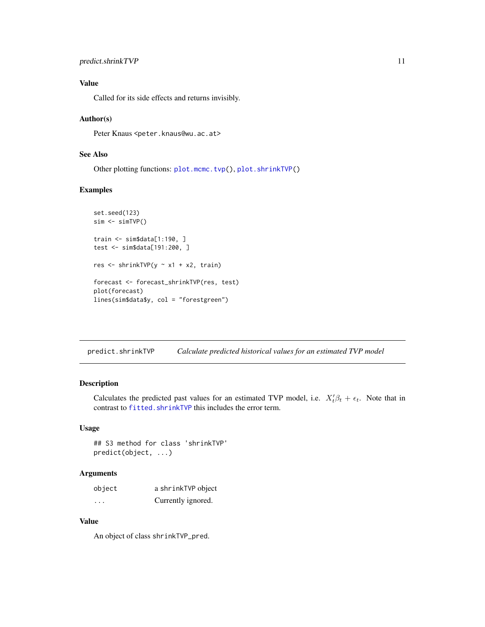#### <span id="page-10-0"></span>Value

Called for its side effects and returns invisibly.

#### Author(s)

Peter Knaus <peter.knaus@wu.ac.at>

#### See Also

Other plotting functions: [plot.mcmc.tvp\(](#page-5-1)), [plot.shrinkTVP\(](#page-8-1))

#### Examples

```
set.seed(123)
sim <- simTVP()
train <- sim$data[1:190, ]
test <- sim$data[191:200, ]
res \le shrinkTVP(y \sim x1 + x2, train)
forecast <- forecast_shrinkTVP(res, test)
plot(forecast)
lines(sim$data$y, col = "forestgreen")
```
<span id="page-10-1"></span>predict.shrinkTVP *Calculate predicted historical values for an estimated TVP model*

#### Description

Calculates the predicted past values for an estimated TVP model, i.e.  $X_t' \beta_t + \epsilon_t$ . Note that in contrast to [fitted.shrinkTVP](#page-2-1) this includes the error term.

#### Usage

```
## S3 method for class 'shrinkTVP'
predict(object, ...)
```
#### Arguments

| object   | a shrinkTVP object |
|----------|--------------------|
| $\cdots$ | Currently ignored. |

#### Value

An object of class shrinkTVP\_pred.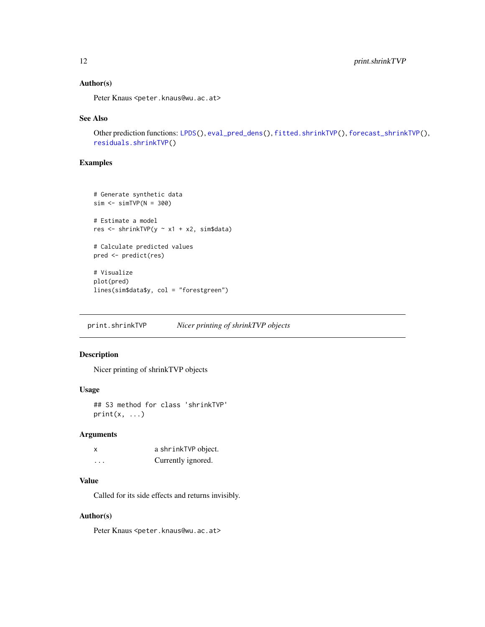# Author(s)

Peter Knaus <peter.knaus@wu.ac.at>

#### See Also

Other prediction functions: [LPDS\(](#page-4-1)), [eval\\_pred\\_dens\(](#page-1-1)), [fitted.shrinkTVP\(](#page-2-1)), [forecast\\_shrinkTVP\(](#page-3-1)), [residuals.shrinkTVP\(](#page-12-1))

### Examples

```
# Generate synthetic data
sim < simTVP(N = 300)
# Estimate a model
res <- shrinkTVP(y ~ x1 + x2, sim$data)
# Calculate predicted values
pred <- predict(res)
# Visualize
plot(pred)
lines(sim$data$y, col = "forestgreen")
```
print.shrinkTVP *Nicer printing of shrinkTVP objects*

# Description

Nicer printing of shrinkTVP objects

#### Usage

```
## S3 method for class 'shrinkTVP'
print(x, \ldots)
```
#### Arguments

| X | a shrinkTVP object. |
|---|---------------------|
| . | Currently ignored.  |

#### Value

Called for its side effects and returns invisibly.

#### Author(s)

Peter Knaus <peter.knaus@wu.ac.at>

<span id="page-11-0"></span>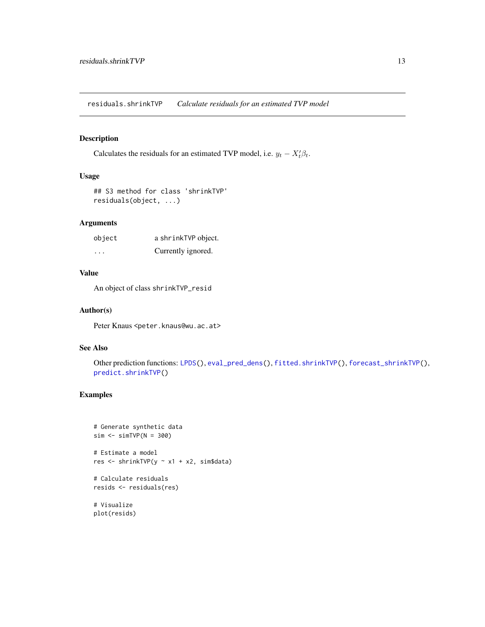<span id="page-12-1"></span><span id="page-12-0"></span>residuals.shrinkTVP *Calculate residuals for an estimated TVP model*

### Description

Calculates the residuals for an estimated TVP model, i.e.  $y_t - X_t' \beta_t$ .

### Usage

```
## S3 method for class 'shrinkTVP'
residuals(object, ...)
```
#### Arguments

| object   | a shrinkTVP object. |
|----------|---------------------|
| $\cdots$ | Currently ignored.  |

#### Value

An object of class shrinkTVP\_resid

#### Author(s)

Peter Knaus <peter.knaus@wu.ac.at>

### See Also

```
Other prediction functions: LPDS(), eval_pred_dens(), fitted.shrinkTVP(), forecast_shrinkTVP(),
predict.shrinkTVP()
```
#### Examples

```
# Generate synthetic data
sim < -simTVP(N = 300)# Estimate a model
res <- shrinkTVP(y ~ x1 + x2, sim$data)
# Calculate residuals
resids <- residuals(res)
```
# Visualize plot(resids)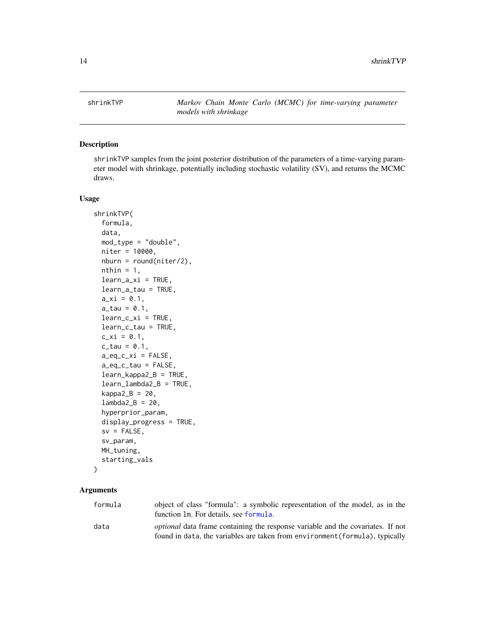<span id="page-13-1"></span><span id="page-13-0"></span>shrinkTVP *Markov Chain Monte Carlo (MCMC) for time-varying parameter models with shrinkage*

# Description

shrinkTVP samples from the joint posterior distribution of the parameters of a time-varying parameter model with shrinkage, potentially including stochastic volatility (SV), and returns the MCMC draws.

#### Usage

```
shrinkTVP(
  formula,
  data,
  mod_type = "double",
  niter = 10000,
  nburn = round(niter/2),
  nthin = 1,learn_a_xi = TRUE,learn_a_tau = TRUE,
  a_{x}i = 0.1,
  a_{\text{1}} a<sub>-</sub> tau = 0.1,
  learn_c_xi = TRUE,
  learn_c_tau = TRUE,
  c_x = 0.1,
  c_{\text{1}} tau = 0.1,
  a_eq_c_xi = FALSE,a_eq_c_tau = FALSE,
  learn_kappa2_B = TRUE,
  learn\_lambda2_B = TRUE,kappa2_B = 20,
  lambda2_B = 20,
  hyperprior_param,
  display_progress = TRUE,
  sv = FALSE,sv_param,
 MH_tuning,
  starting_vals
```
#### Arguments

)

| formula | object of class "formula": a symbolic representation of the model, as in the<br>function 1m. For details, see formula.                                                 |
|---------|------------------------------------------------------------------------------------------------------------------------------------------------------------------------|
| data    | <i>optional</i> data frame containing the response variable and the covariates. If not<br>found in data, the variables are taken from environment (formula), typically |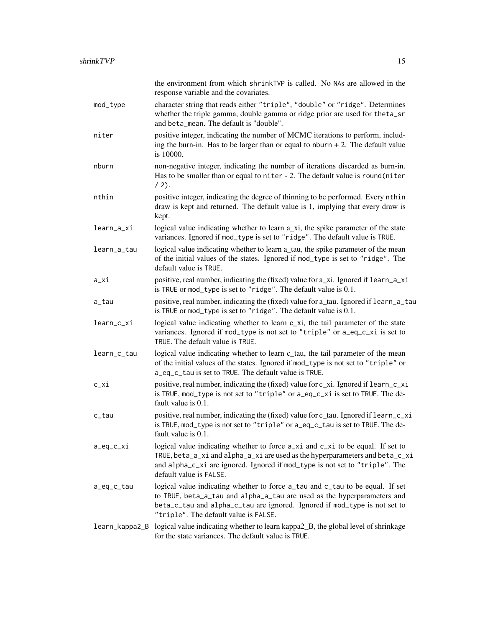|                | the environment from which shrinkTVP is called. No NAs are allowed in the<br>response variable and the covariates.                                                                                                                                                             |
|----------------|--------------------------------------------------------------------------------------------------------------------------------------------------------------------------------------------------------------------------------------------------------------------------------|
| mod_type       | character string that reads either "triple", "double" or "ridge". Determines<br>whether the triple gamma, double gamma or ridge prior are used for theta_sr<br>and beta_mean. The default is "double".                                                                         |
| niter          | positive integer, indicating the number of MCMC iterations to perform, includ-<br>ing the burn-in. Has to be larger than or equal to nburn $+ 2$ . The default value<br>is 10000.                                                                                              |
| nburn          | non-negative integer, indicating the number of iterations discarded as burn-in.<br>Has to be smaller than or equal to niter - 2. The default value is round (niter<br>(2).                                                                                                     |
| nthin          | positive integer, indicating the degree of thinning to be performed. Every nthin<br>draw is kept and returned. The default value is 1, implying that every draw is<br>kept.                                                                                                    |
| learn_a_xi     | logical value indicating whether to learn a_xi, the spike parameter of the state<br>variances. Ignored if mod_type is set to "ridge". The default value is TRUE.                                                                                                               |
| learn_a_tau    | logical value indicating whether to learn a_tau, the spike parameter of the mean<br>of the initial values of the states. Ignored if mod_type is set to "ridge". The<br>default value is TRUE.                                                                                  |
| a_xi           | positive, real number, indicating the (fixed) value for a_xi. Ignored if learn_a_xi<br>is TRUE or mod_type is set to "ridge". The default value is 0.1.                                                                                                                        |
| a_tau          | positive, real number, indicating the (fixed) value for a_tau. Ignored if learn_a_tau<br>is TRUE or mod_type is set to "ridge". The default value is 0.1.                                                                                                                      |
| learn_c_xi     | logical value indicating whether to learn c_xi, the tail parameter of the state<br>variances. Ignored if mod_type is not set to "triple" or a_eq_c_xi is set to<br>TRUE. The default value is TRUE.                                                                            |
| learn_c_tau    | logical value indicating whether to learn c_tau, the tail parameter of the mean<br>of the initial values of the states. Ignored if mod_type is not set to "triple" or<br>a_eq_c_tau is set to TRUE. The default value is TRUE.                                                 |
| $c_x$          | positive, real number, indicating the (fixed) value for c_xi. Ignored if learn_c_xi<br>is TRUE, mod_type is not set to "triple" or a_eq_c_xi is set to TRUE. The de-<br>fault value is 0.1.                                                                                    |
| c_tau          | positive, real number, indicating the (fixed) value for c_tau. Ignored if learn_c_xi<br>is TRUE, mod_type is not set to "triple" or a_eq_c_tau is set to TRUE. The de-<br>fault value is 0.1.                                                                                  |
| a_eq_c_xi      | logical value indicating whether to force $a_{x}$ and $c_{x}$ to be equal. If set to<br>TRUE, beta_a_xi and alpha_a_xi are used as the hyperparameters and beta_c_xi<br>and alpha_c_xi are ignored. Ignored if mod_type is not set to "triple". The<br>default value is FALSE. |
| a_eq_c_tau     | logical value indicating whether to force a_tau and c_tau to be equal. If set<br>to TRUE, beta_a_tau and alpha_a_tau are used as the hyperparameters and<br>beta_c_tau and alpha_c_tau are ignored. Ignored if mod_type is not set to<br>"triple". The default value is FALSE. |
| learn_kappa2_B | logical value indicating whether to learn kappa2_B, the global level of shrinkage<br>for the state variances. The default value is TRUE.                                                                                                                                       |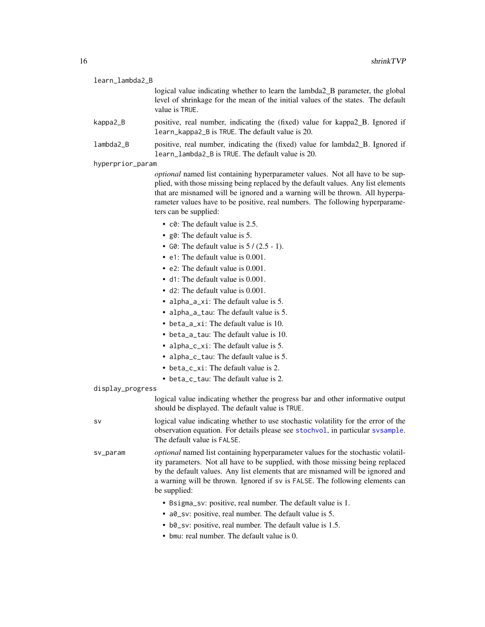<span id="page-15-0"></span>

| learn_lambda2_B  |                                                                                                                                                                                                                                                                                                                                                             |  |
|------------------|-------------------------------------------------------------------------------------------------------------------------------------------------------------------------------------------------------------------------------------------------------------------------------------------------------------------------------------------------------------|--|
|                  | logical value indicating whether to learn the lambda2_B parameter, the global<br>level of shrinkage for the mean of the initial values of the states. The default<br>value is TRUE.                                                                                                                                                                         |  |
| kappa2_B         | positive, real number, indicating the (fixed) value for kappa2_B. Ignored if<br>learn_kappa2_B is TRUE. The default value is 20.                                                                                                                                                                                                                            |  |
| lambda2_B        | positive, real number, indicating the (fixed) value for lambda2_B. Ignored if<br>learn_lambda2_B is TRUE. The default value is 20.                                                                                                                                                                                                                          |  |
| hyperprior_param |                                                                                                                                                                                                                                                                                                                                                             |  |
|                  | optional named list containing hyperparameter values. Not all have to be sup-<br>plied, with those missing being replaced by the default values. Any list elements<br>that are misnamed will be ignored and a warning will be thrown. All hyperpa-<br>rameter values have to be positive, real numbers. The following hyperparame-<br>ters can be supplied: |  |
|                  | • c0: The default value is 2.5.                                                                                                                                                                                                                                                                                                                             |  |
|                  | • g0: The default value is 5.                                                                                                                                                                                                                                                                                                                               |  |
|                  | • G0: The default value is $5 / (2.5 - 1)$ .                                                                                                                                                                                                                                                                                                                |  |
|                  | • e1: The default value is 0.001.                                                                                                                                                                                                                                                                                                                           |  |
|                  | • e2: The default value is 0.001.                                                                                                                                                                                                                                                                                                                           |  |
|                  | • d1: The default value is 0.001.                                                                                                                                                                                                                                                                                                                           |  |
|                  | • d2: The default value is 0.001.                                                                                                                                                                                                                                                                                                                           |  |
|                  | • alpha_a_xi: The default value is 5.                                                                                                                                                                                                                                                                                                                       |  |
|                  | • alpha_a_tau: The default value is 5.                                                                                                                                                                                                                                                                                                                      |  |
|                  | • beta_a_xi: The default value is 10.                                                                                                                                                                                                                                                                                                                       |  |
|                  | • beta_a_tau: The default value is 10.                                                                                                                                                                                                                                                                                                                      |  |
|                  | • alpha_c_xi: The default value is 5.                                                                                                                                                                                                                                                                                                                       |  |
|                  | • alpha_c_tau: The default value is 5.                                                                                                                                                                                                                                                                                                                      |  |
|                  | • beta_c_xi: The default value is 2.                                                                                                                                                                                                                                                                                                                        |  |
|                  | • beta_c_tau: The default value is 2.                                                                                                                                                                                                                                                                                                                       |  |
| display_progress |                                                                                                                                                                                                                                                                                                                                                             |  |
|                  | logical value indicating whether the progress bar and other informative output<br>should be displayed. The default value is TRUE.                                                                                                                                                                                                                           |  |
| s٧               | logical value indicating whether to use stochastic volatility for the error of the<br>observation equation. For details please see stochvol, in particular sysample.<br>The default value is FALSE.                                                                                                                                                         |  |
| sv_param         | optional named list containing hyperparameter values for the stochastic volatil-<br>ity parameters. Not all have to be supplied, with those missing being replaced<br>by the default values. Any list elements that are misnamed will be ignored and<br>a warning will be thrown. Ignored if sv is FALSE. The following elements can<br>be supplied:        |  |
|                  | • Bsigma_sv: positive, real number. The default value is 1.                                                                                                                                                                                                                                                                                                 |  |
|                  | • a0_sv: positive, real number. The default value is 5.                                                                                                                                                                                                                                                                                                     |  |
|                  | • b0_sv: positive, real number. The default value is 1.5.                                                                                                                                                                                                                                                                                                   |  |

• bmu: real number. The default value is 0.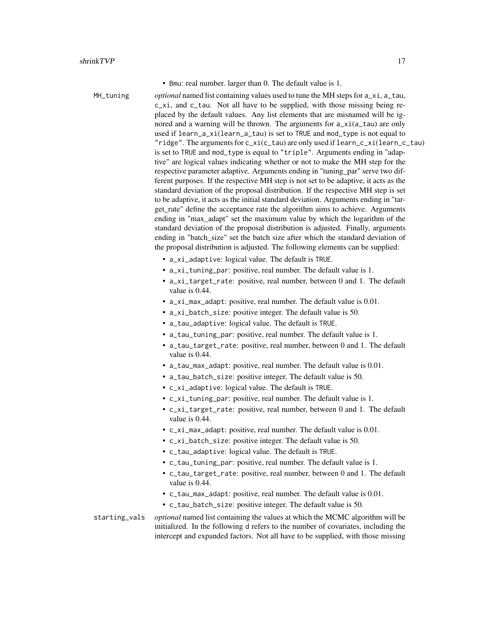• Bmu: real number. larger than 0. The default value is 1.

MH\_tuning *optional* named list containing values used to tune the MH steps for a\_xi, a\_tau, c\_xi, and c\_tau. Not all have to be supplied, with those missing being replaced by the default values. Any list elements that are misnamed will be ignored and a warning will be thrown. The arguments for a\_xi(a\_tau) are only used if learn\_a\_xi(learn\_a\_tau) is set to TRUE and mod\_type is not equal to "ridge". The arguments for c\_xi(c\_tau) are only used if learn\_c\_xi(learn\_c\_tau) is set to TRUE and mod\_type is equal to "triple". Arguments ending in "adaptive" are logical values indicating whether or not to make the MH step for the respective parameter adaptive. Arguments ending in "tuning\_par" serve two different purposes. If the respective MH step is not set to be adaptive, it acts as the standard deviation of the proposal distribution. If the respective MH step is set to be adaptive, it acts as the initial standard deviation. Arguments ending in "target\_rate" define the acceptance rate the algorithm aims to achieve. Arguments ending in "max\_adapt" set the maximum value by which the logarithm of the standard deviation of the proposal distribution is adjusted. Finally, arguments ending in "batch\_size" set the batch size after which the standard deviation of the proposal distribution is adjusted. The following elements can be supplied:

- a\_xi\_adaptive: logical value. The default is TRUE.
- a\_xi\_tuning\_par: positive, real number. The default value is 1.
- a\_xi\_target\_rate: positive, real number, between 0 and 1. The default value is 0.44.
- a\_xi\_max\_adapt: positive, real number. The default value is 0.01.
- a\_xi\_batch\_size: positive integer. The default value is 50.
- a\_tau\_adaptive: logical value. The default is TRUE.
- a\_tau\_tuning\_par: positive, real number. The default value is 1.
- a\_tau\_target\_rate: positive, real number, between 0 and 1. The default value is 0.44.
- a\_tau\_max\_adapt: positive, real number. The default value is 0.01.
- a\_tau\_batch\_size: positive integer. The default value is 50.
- c\_xi\_adaptive: logical value. The default is TRUE.
- c\_xi\_tuning\_par: positive, real number. The default value is 1.
- c\_xi\_target\_rate: positive, real number, between 0 and 1. The default value is 0.44.
- c\_xi\_max\_adapt: positive, real number. The default value is 0.01.
- c\_xi\_batch\_size: positive integer. The default value is 50.
- c\_tau\_adaptive: logical value. The default is TRUE.
- c\_tau\_tuning\_par: positive, real number. The default value is 1.
- c\_tau\_target\_rate: positive, real number, between 0 and 1. The default value is 0.44.
- c\_tau\_max\_adapt: positive, real number. The default value is 0.01.
- c\_tau\_batch\_size: positive integer. The default value is 50.

starting\_vals *optional* named list containing the values at which the MCMC algorithm will be initialized. In the following d refers to the number of covariates, including the intercept and expanded factors. Not all have to be supplied, with those missing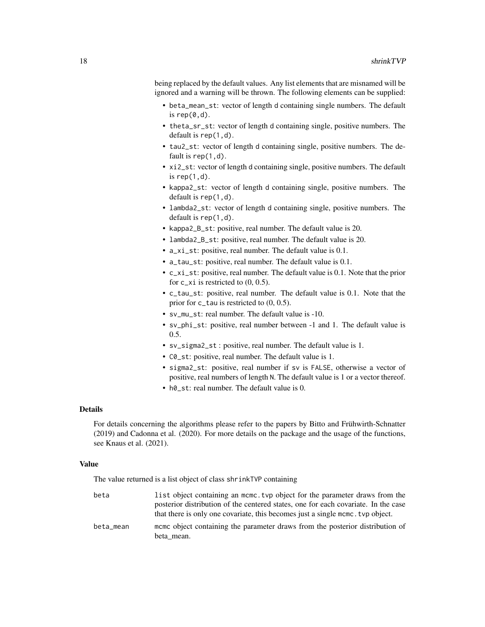being replaced by the default values. Any list elements that are misnamed will be ignored and a warning will be thrown. The following elements can be supplied:

- beta\_mean\_st: vector of length d containing single numbers. The default is rep $(\emptyset, d)$ .
- theta\_sr\_st: vector of length d containing single, positive numbers. The default is rep(1,d).
- tau2\_st: vector of length d containing single, positive numbers. The default is rep(1,d).
- xi2\_st: vector of length d containing single, positive numbers. The default is  $rep(1,d)$ .
- kappa2\_st: vector of length d containing single, positive numbers. The default is rep(1,d).
- lambda2\_st: vector of length d containing single, positive numbers. The default is rep(1,d).
- kappa2\_B\_st: positive, real number. The default value is 20.
- lambda2\_B\_st: positive, real number. The default value is 20.
- a\_xi\_st: positive, real number. The default value is 0.1.
- a\_tau\_st: positive, real number. The default value is 0.1.
- c\_xi\_st: positive, real number. The default value is 0.1. Note that the prior for  $c_x$  is restricted to  $(0, 0.5)$ .
- c\_tau\_st: positive, real number. The default value is 0.1. Note that the prior for c\_tau is restricted to  $(0, 0.5)$ .
- sv\_mu\_st: real number. The default value is -10.
- sv\_phi\_st: positive, real number between -1 and 1. The default value is 0.5.
- sv\_sigma2\_st : positive, real number. The default value is 1.
- C0\_st: positive, real number. The default value is 1.
- sigma2\_st: positive, real number if sv is FALSE, otherwise a vector of positive, real numbers of length N. The default value is 1 or a vector thereof.
- h0\_st: real number. The default value is 0.

#### Details

For details concerning the algorithms please refer to the papers by Bitto and Frühwirth-Schnatter (2019) and Cadonna et al. (2020). For more details on the package and the usage of the functions, see Knaus et al. (2021).

#### Value

The value returned is a list object of class shrinkTVP containing

| beta      | list object containing an mome, typ object for the parameter draws from the        |
|-----------|------------------------------------------------------------------------------------|
|           | posterior distribution of the centered states, one for each covariate. In the case |
|           | that there is only one covariate, this becomes just a single mome, typ object.     |
| beta mean | meme object containing the parameter draws from the posterior distribution of      |
|           | beta mean.                                                                         |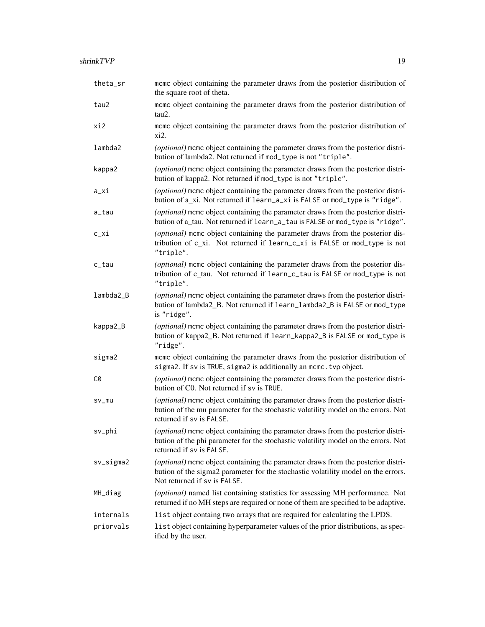| theta_sr       | mcmc object containing the parameter draws from the posterior distribution of<br>the square root of theta.                                                                                            |
|----------------|-------------------------------------------------------------------------------------------------------------------------------------------------------------------------------------------------------|
| tau2           | mcmc object containing the parameter draws from the posterior distribution of<br>tau2.                                                                                                                |
| xi2            | mcmc object containing the parameter draws from the posterior distribution of<br>xi2.                                                                                                                 |
| lambda2        | (optional) mcmc object containing the parameter draws from the posterior distri-<br>bution of lambda2. Not returned if mod_type is not "triple".                                                      |
| kappa2         | (optional) mcmc object containing the parameter draws from the posterior distri-<br>bution of kappa2. Not returned if mod_type is not "triple".                                                       |
| a_xi           | (optional) mcmc object containing the parameter draws from the posterior distri-<br>bution of a_xi. Not returned if learn_a_xi is FALSE or mod_type is "ridge".                                       |
| a_tau          | (optional) mcmc object containing the parameter draws from the posterior distri-<br>bution of a_tau. Not returned if learn_a_tau is FALSE or mod_type is "ridge".                                     |
| $c_x$          | (optional) mcmc object containing the parameter draws from the posterior dis-<br>tribution of c_xi. Not returned if learn_c_xi is FALSE or mod_type is not<br>"triple".                               |
| c_tau          | (optional) mcmc object containing the parameter draws from the posterior dis-<br>tribution of c_tau. Not returned if learn_c_tau is FALSE or mod_type is not<br>"triple".                             |
| lambda2_B      | (optional) mcmc object containing the parameter draws from the posterior distri-<br>bution of lambda2_B. Not returned if learn_lambda2_B is FALSE or mod_type<br>is "ridge".                          |
| kappa2_B       | (optional) mcmc object containing the parameter draws from the posterior distri-<br>bution of kappa2_B. Not returned if learn_kappa2_B is FALSE or mod_type is<br>"ridge".                            |
| sigma2         | mcmc object containing the parameter draws from the posterior distribution of<br>sigma2. If sv is TRUE, sigma2 is additionally an mcmc. tvp object.                                                   |
| C <sub>0</sub> | (optional) mcmc object containing the parameter draws from the posterior distri-<br>bution of C0. Not returned if sv is TRUE.                                                                         |
| SV_MU          | (optional) mcmc object containing the parameter draws from the posterior distri-<br>bution of the mu parameter for the stochastic volatility model on the errors. Not<br>returned if sv is FALSE.     |
| sv_phi         | (optional) meme object containing the parameter draws from the posterior distri-<br>bution of the phi parameter for the stochastic volatility model on the errors. Not<br>returned if sv is FALSE.    |
| sv_sigma2      | (optional) mcmc object containing the parameter draws from the posterior distri-<br>bution of the sigma2 parameter for the stochastic volatility model on the errors.<br>Not returned if sv is FALSE. |
| MH_diag        | (optional) named list containing statistics for assessing MH performance. Not<br>returned if no MH steps are required or none of them are specified to be adaptive.                                   |
| internals      | list object containg two arrays that are required for calculating the LPDS.                                                                                                                           |
| priorvals      | list object containing hyperparameter values of the prior distributions, as spec-<br>ified by the user.                                                                                               |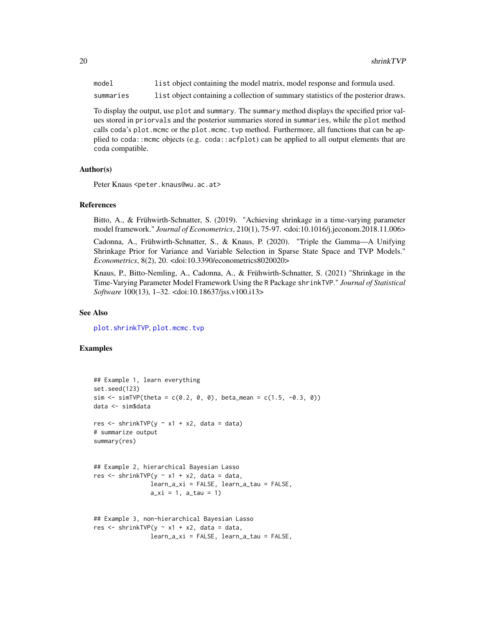<span id="page-19-0"></span>model list object containing the model matrix, model response and formula used. summaries list object containing a collection of summary statistics of the posterior draws.

To display the output, use plot and summary. The summary method displays the specified prior values stored in priorvals and the posterior summaries stored in summaries, while the plot method calls coda's plot.mcmc or the plot.mcmc.tvp method. Furthermore, all functions that can be applied to coda::mcmc objects (e.g. coda::acfplot) can be applied to all output elements that are coda compatible.

#### Author(s)

Peter Knaus <peter.knaus@wu.ac.at>

#### References

Bitto, A., & Frühwirth-Schnatter, S. (2019). "Achieving shrinkage in a time-varying parameter model framework." *Journal of Econometrics*, 210(1), 75-97. <doi:10.1016/j.jeconom.2018.11.006>

Cadonna, A., Frühwirth-Schnatter, S., & Knaus, P. (2020). "Triple the Gamma—A Unifying Shrinkage Prior for Variance and Variable Selection in Sparse State Space and TVP Models." *Econometrics*, 8(2), 20. <doi:10.3390/econometrics8020020>

Knaus, P., Bitto-Nemling, A., Cadonna, A., & Frühwirth-Schnatter, S. (2021) "Shrinkage in the Time-Varying Parameter Model Framework Using the R Package shrinkTVP." *Journal of Statistical Software* 100(13), 1–32. <doi:10.18637/jss.v100.i13>

#### See Also

[plot.shrinkTVP](#page-8-1), [plot.mcmc.tvp](#page-5-1)

#### Examples

```
## Example 1, learn everything
set.seed(123)
sim <- simTVP(theta = c(0.2, 0, 0), beta_mean = c(1.5, -0.3, 0))
data <- sim$data
res \le shrinkTVP(y \sim x1 + x2, data = data)
# summarize output
summary(res)
## Example 2, hierarchical Bayesian Lasso
res \le shrinkTVP(y \sim x1 + x2, data = data,
                learn_a_xi = FALSE, learn_a_tau = FALSE,
                a_{x}i = 1, a_{t}a = 1## Example 3, non-hierarchical Bayesian Lasso
res \le shrinkTVP(y \sim x1 + x2, data = data,
                learn_a_xi = FALSE, learn_a_tau = FALSE,
```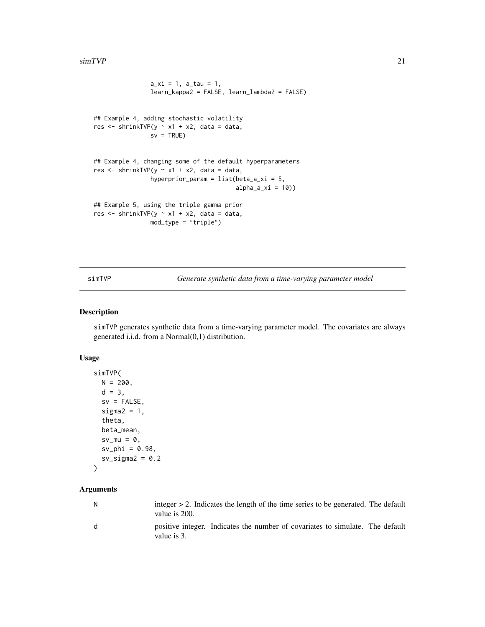```
a_{x}i = 1, a_{t}a = 1,
                learn_kappa2 = FALSE, learn_lambda2 = FALSE)
## Example 4, adding stochastic volatility
res <- shrinkTVP(y \sim x1 + x2, data = data,
                sv = TRUE)
## Example 4, changing some of the default hyperparameters
res \le shrinkTVP(y \sim x1 + x2, data = data,
                hyperprior_param = list(beta_a-xi = 5,alpha_a_xi = 10)## Example 5, using the triple gamma prior
res \le shrinkTVP(y \sim x1 + x2, data = data,
                mod_type = "triple")
```
simTVP *Generate synthetic data from a time-varying parameter model*

#### Description

simTVP generates synthetic data from a time-varying parameter model. The covariates are always generated i.i.d. from a Normal(0,1) distribution.

#### Usage

```
simTVP(
  N = 200,
  d = 3,
  sv = FALSE,sigma2 = 1,
  theta,
  beta_mean,
  sv_mu = 0,
  sv_{phi} = 0.98,
  sv\_sigma2 = 0.2\lambda
```

| N | integer $> 2$ . Indicates the length of the time series to be generated. The default<br>value is 200. |
|---|-------------------------------------------------------------------------------------------------------|
| d | positive integer. Indicates the number of covariates to simulate. The default<br>value is 3.          |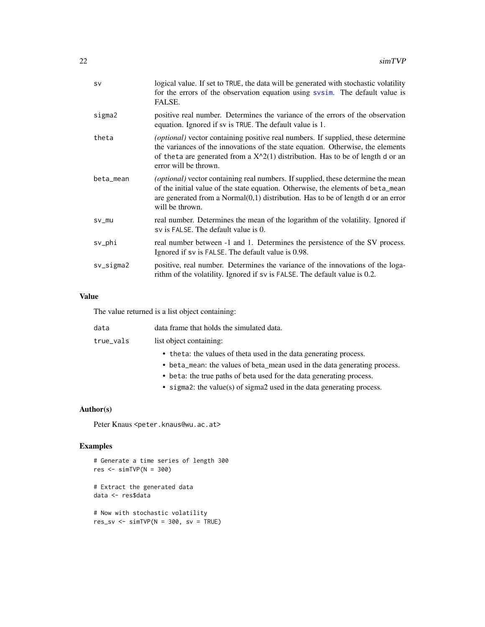<span id="page-21-0"></span>

| <b>SV</b> | logical value. If set to TRUE, the data will be generated with stochastic volatility<br>for the errors of the observation equation using sysim. The default value is<br>FALSE.                                                                                                    |
|-----------|-----------------------------------------------------------------------------------------------------------------------------------------------------------------------------------------------------------------------------------------------------------------------------------|
| sigma2    | positive real number. Determines the variance of the errors of the observation<br>equation. Ignored if sv is TRUE. The default value is 1.                                                                                                                                        |
| theta     | (optional) vector containing positive real numbers. If supplied, these determine<br>the variances of the innovations of the state equation. Otherwise, the elements<br>of the ta are generated from a $X^2(1)$ distribution. Has to be of length d or an<br>error will be thrown. |
| beta_mean | (optional) vector containing real numbers. If supplied, these determine the mean<br>of the initial value of the state equation. Otherwise, the elements of beta_mean<br>are generated from a Normal $(0,1)$ distribution. Has to be of length d or an error<br>will be thrown.    |
| $SV_mu$   | real number. Determines the mean of the logarithm of the volatility. Ignored if<br>sy is FALSE. The default value is 0.                                                                                                                                                           |
| sv_phi    | real number between -1 and 1. Determines the persistence of the SV process.<br>Ignored if sv is FALSE. The default value is 0.98.                                                                                                                                                 |
| sv_sigma2 | positive, real number. Determines the variance of the innovations of the loga-<br>rithm of the volatility. Ignored if sv is FALSE. The default value is 0.2.                                                                                                                      |

### Value

The value returned is a list object containing:

| data      | data frame that holds the simulated data.                                 |
|-----------|---------------------------------------------------------------------------|
| true_vals | list object containing:                                                   |
|           | • the ta: the values of the ta used in the data generating process.       |
|           | • beta_mean: the values of beta_mean used in the data generating process. |
|           | • beta: the true paths of beta used for the data generating process.      |
|           | • sigma2: the value(s) of sigma2 used in the data generating process.     |

## Author(s)

Peter Knaus <peter.knaus@wu.ac.at>

# Examples

```
# Generate a time series of length 300
res <- simTVP(N = 300)
# Extract the generated data
data <- res$data
# Now with stochastic volatility
res\_sv \leq simTVP(N = 300, sv = TRUE)
```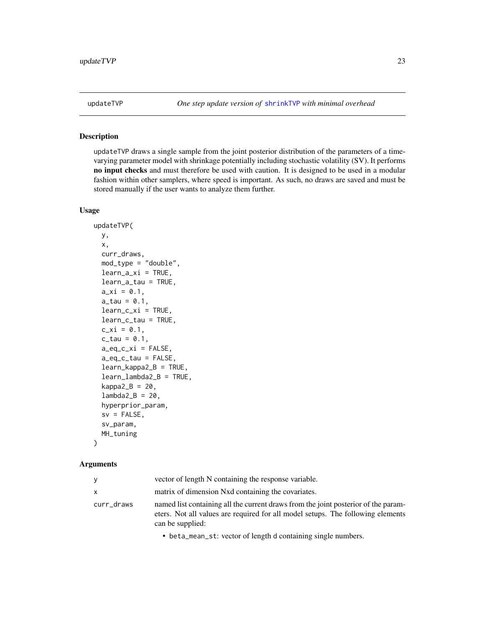<span id="page-22-0"></span>

#### Description

updateTVP draws a single sample from the joint posterior distribution of the parameters of a timevarying parameter model with shrinkage potentially including stochastic volatility (SV). It performs no input checks and must therefore be used with caution. It is designed to be used in a modular fashion within other samplers, where speed is important. As such, no draws are saved and must be stored manually if the user wants to analyze them further.

#### Usage

```
updateTVP(
  y,
  x,
  curr_draws,
  mod_type = "double",
  learn_a_xi = TRUE,
  learn_a_tau = TRUE,
  a_{x}i = 0.1,
  a_{\text{1}} a<sub>-</sub> tau = 0.1,
  learn_c_xi = TRUE,learn_c_tau = TRUE,
  c_x = 0.1,
  c_{1}tau = 0.1,
  a_eq_c_xi = FALSE,a_eq_c_tau = FALSE,
  learn_kappa2_B = TRUE,learn_lambda2_B = TRUE,
  kappa2_B = 20,
  lambda2_B = 20,
  hyperprior_param,
  sv = FALSE,sv_param,
  MH_tuning
```
# )

#### Arguments

| y            | vector of length N containing the response variable.                                                                                                                                      |
|--------------|-------------------------------------------------------------------------------------------------------------------------------------------------------------------------------------------|
| $\mathsf{x}$ | matrix of dimension Nxd containing the covariates.                                                                                                                                        |
| curr_draws   | named list containing all the current draws from the joint posterior of the param-<br>eters. Not all values are required for all model setups. The following elements<br>can be supplied: |
|              |                                                                                                                                                                                           |

• beta\_mean\_st: vector of length d containing single numbers.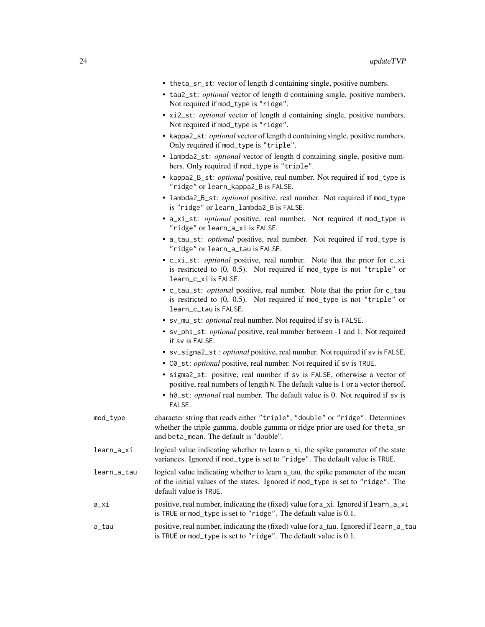- theta\_sr\_st: vector of length d containing single, positive numbers.
- tau2\_st: *optional* vector of length d containing single, positive numbers. Not required if mod\_type is "ridge".
- xi2\_st: *optional* vector of length d containing single, positive numbers. Not required if mod\_type is "ridge".
- kappa2\_st: *optional* vector of length d containing single, positive numbers. Only required if mod\_type is "triple".
- lambda2\_st: *optional* vector of length d containing single, positive numbers. Only required if mod\_type is "triple".
- kappa2\_B\_st: *optional* positive, real number. Not required if mod\_type is "ridge" or learn\_kappa2\_B is FALSE.
- lambda2\_B\_st: *optional* positive, real number. Not required if mod\_type is "ridge" or learn\_lambda2\_B is FALSE.
- a\_xi\_st: *optional* positive, real number. Not required if mod\_type is "ridge" or learn\_a\_xi is FALSE.
- a\_tau\_st: *optional* positive, real number. Not required if mod\_type is "ridge" or learn\_a\_tau is FALSE.
- c\_xi\_st: *optional* positive, real number. Note that the prior for c\_xi is restricted to (0, 0.5). Not required if mod\_type is not "triple" or learn\_c\_xi is FALSE.
- c\_tau\_st: *optional* positive, real number. Note that the prior for c\_tau is restricted to (0, 0.5). Not required if mod\_type is not "triple" or learn\_c\_tau is FALSE.
- sv\_mu\_st: *optional* real number. Not required if sv is FALSE.
- sv\_phi\_st: *optional* positive, real number between -1 and 1. Not required if sv is FALSE.
- sv\_sigma2\_st : *optional* positive, real number. Not required if sv is FALSE.
- C0\_st: *optional* positive, real number. Not required if sv is TRUE.
- sigma2\_st: positive, real number if sv is FALSE, otherwise a vector of positive, real numbers of length N. The default value is 1 or a vector thereof.
- h0\_st: *optional* real number. The default value is 0. Not required if sv is FALSE.
- mod\_type character string that reads either "triple", "double" or "ridge". Determines whether the triple gamma, double gamma or ridge prior are used for theta\_sr and beta\_mean. The default is "double".
- learn\_a\_xi logical value indicating whether to learn a\_xi, the spike parameter of the state variances. Ignored if mod\_type is set to "ridge". The default value is TRUE.
- learn\_a\_tau logical value indicating whether to learn a\_tau, the spike parameter of the mean of the initial values of the states. Ignored if mod\_type is set to "ridge". The default value is TRUE.
- $a_x$  positive, real number, indicating the (fixed) value for  $a_x$ xi. Ignored if learn $-a_x$ xi is TRUE or mod\_type is set to "ridge". The default value is 0.1.
- a\_tau positive, real number, indicating the (fixed) value for a\_tau. Ignored if learn\_a\_tau is TRUE or mod\_type is set to "ridge". The default value is 0.1.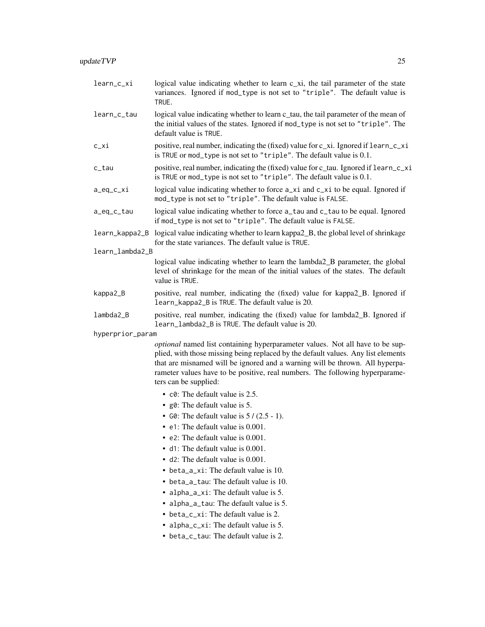- $learn_c_x$ i logical value indicating whether to learn  $c_x$ xi, the tail parameter of the state variances. Ignored if mod\_type is not set to "triple". The default value is **TRUF** learn\_c\_tau logical value indicating whether to learn c\_tau, the tail parameter of the mean of the initial values of the states. Ignored if mod\_type is not set to "triple". The default value is TRUE.  $c_x$  positive, real number, indicating the (fixed) value for c\_xi. Ignored if learn<sub> $c_x$ xi</sub> is TRUE or mod\_type is not set to "triple". The default value is 0.1. c\_tau positive, real number, indicating the (fixed) value for c\_tau. Ignored if learn\_c\_xi is TRUE or mod\_type is not set to "triple". The default value is 0.1. a\_eq\_c\_xi logical value indicating whether to force a\_xi and c\_xi to be equal. Ignored if mod\_type is not set to "triple". The default value is FALSE. a\_eq\_c\_tau logical value indicating whether to force a\_tau and c\_tau to be equal. Ignored if mod\_type is not set to "triple". The default value is FALSE. learn\_kappa2\_B logical value indicating whether to learn kappa2\_B, the global level of shrinkage for the state variances. The default value is TRUE. learn\_lambda2\_B logical value indicating whether to learn the lambda2\_B parameter, the global level of shrinkage for the mean of the initial values of the states. The default value is TRUE. kappa2\_B positive, real number, indicating the (fixed) value for kappa2\_B. Ignored if learn\_kappa2\_B is TRUE. The default value is 20. lambda2\_B positive, real number, indicating the (fixed) value for lambda2\_B. Ignored if learn\_lambda2\_B is TRUE. The default value is 20. hyperprior\_param *optional* named list containing hyperparameter values. Not all have to be supplied, with those missing being replaced by the default values. Any list elements that are misnamed will be ignored and a warning will be thrown. All hyperparameter values have to be positive, real numbers. The following hyperparame-
	- c0: The default value is 2.5.
	- g0: The default value is 5.

ters can be supplied:

- G0: The default value is  $5 / (2.5 1)$ .
- e1: The default value is 0.001.
- e2: The default value is 0.001.
- d1: The default value is 0.001.
- d2: The default value is 0.001.
- beta\_a\_xi: The default value is 10.
- beta\_a\_tau: The default value is 10.
- alpha\_a\_xi: The default value is 5.
- alpha\_a\_tau: The default value is 5.
- beta\_c\_xi: The default value is 2.
- alpha\_c\_xi: The default value is 5.
- beta\_c\_tau: The default value is 2.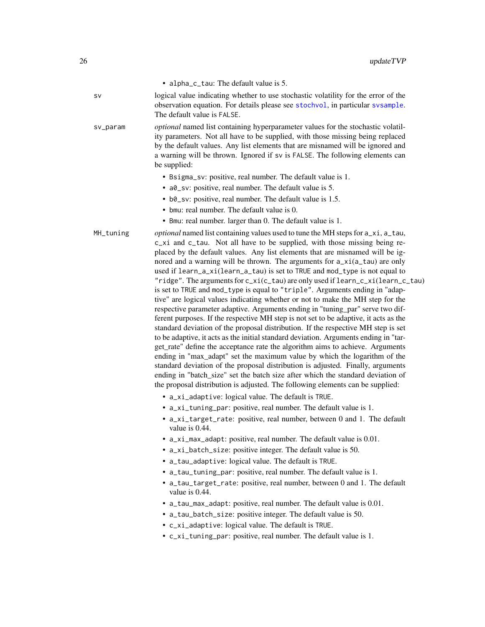<span id="page-25-0"></span>

|           | • alpha_c_tau: The default value is 5.                                                                                                                                                                                                                                                                                                                                                                                                                                                                                                                                                                                                                                                                                                                                                                                                                                                                                                                                                                                                                                                                                                                                                                                                                                                                                                                                                                                                               |
|-----------|------------------------------------------------------------------------------------------------------------------------------------------------------------------------------------------------------------------------------------------------------------------------------------------------------------------------------------------------------------------------------------------------------------------------------------------------------------------------------------------------------------------------------------------------------------------------------------------------------------------------------------------------------------------------------------------------------------------------------------------------------------------------------------------------------------------------------------------------------------------------------------------------------------------------------------------------------------------------------------------------------------------------------------------------------------------------------------------------------------------------------------------------------------------------------------------------------------------------------------------------------------------------------------------------------------------------------------------------------------------------------------------------------------------------------------------------------|
| <b>SV</b> | logical value indicating whether to use stochastic volatility for the error of the<br>observation equation. For details please see stochvol, in particular sysample.<br>The default value is FALSE.                                                                                                                                                                                                                                                                                                                                                                                                                                                                                                                                                                                                                                                                                                                                                                                                                                                                                                                                                                                                                                                                                                                                                                                                                                                  |
| sv_param  | optional named list containing hyperparameter values for the stochastic volatil-<br>ity parameters. Not all have to be supplied, with those missing being replaced<br>by the default values. Any list elements that are misnamed will be ignored and<br>a warning will be thrown. Ignored if sv is FALSE. The following elements can<br>be supplied:                                                                                                                                                                                                                                                                                                                                                                                                                                                                                                                                                                                                                                                                                                                                                                                                                                                                                                                                                                                                                                                                                                 |
|           | • Bsigma_sv: positive, real number. The default value is 1.                                                                                                                                                                                                                                                                                                                                                                                                                                                                                                                                                                                                                                                                                                                                                                                                                                                                                                                                                                                                                                                                                                                                                                                                                                                                                                                                                                                          |
|           | • a $\theta$ _sv: positive, real number. The default value is 5.                                                                                                                                                                                                                                                                                                                                                                                                                                                                                                                                                                                                                                                                                                                                                                                                                                                                                                                                                                                                                                                                                                                                                                                                                                                                                                                                                                                     |
|           | • b0_sv: positive, real number. The default value is 1.5.                                                                                                                                                                                                                                                                                                                                                                                                                                                                                                                                                                                                                                                                                                                                                                                                                                                                                                                                                                                                                                                                                                                                                                                                                                                                                                                                                                                            |
|           | • bmu: real number. The default value is 0.                                                                                                                                                                                                                                                                                                                                                                                                                                                                                                                                                                                                                                                                                                                                                                                                                                                                                                                                                                                                                                                                                                                                                                                                                                                                                                                                                                                                          |
|           | • Bmu: real number. larger than 0. The default value is 1.                                                                                                                                                                                                                                                                                                                                                                                                                                                                                                                                                                                                                                                                                                                                                                                                                                                                                                                                                                                                                                                                                                                                                                                                                                                                                                                                                                                           |
| MH_tuning | <i>optional</i> named list containing values used to tune the MH steps for a_xi, a_tau,<br>c_xi and c_tau. Not all have to be supplied, with those missing being re-<br>placed by the default values. Any list elements that are misnamed will be ig-<br>nored and a warning will be thrown. The arguments for a_xi(a_tau) are only<br>used if learn_a_xi(learn_a_tau) is set to TRUE and mod_type is not equal to<br>"ridge". The arguments for c_xi(c_tau) are only used if learn_c_xi(learn_c_tau)<br>is set to TRUE and mod_type is equal to "triple". Arguments ending in "adap-<br>tive" are logical values indicating whether or not to make the MH step for the<br>respective parameter adaptive. Arguments ending in "tuning_par" serve two dif-<br>ferent purposes. If the respective MH step is not set to be adaptive, it acts as the<br>standard deviation of the proposal distribution. If the respective MH step is set<br>to be adaptive, it acts as the initial standard deviation. Arguments ending in "tar-<br>get_rate" define the acceptance rate the algorithm aims to achieve. Arguments<br>ending in "max_adapt" set the maximum value by which the logarithm of the<br>standard deviation of the proposal distribution is adjusted. Finally, arguments<br>ending in "batch_size" set the batch size after which the standard deviation of<br>the proposal distribution is adjusted. The following elements can be supplied: |
|           | • a_xi_adaptive: logical value. The default is TRUE.                                                                                                                                                                                                                                                                                                                                                                                                                                                                                                                                                                                                                                                                                                                                                                                                                                                                                                                                                                                                                                                                                                                                                                                                                                                                                                                                                                                                 |
|           | • a_xi_tuning_par: positive, real number. The default value is 1.                                                                                                                                                                                                                                                                                                                                                                                                                                                                                                                                                                                                                                                                                                                                                                                                                                                                                                                                                                                                                                                                                                                                                                                                                                                                                                                                                                                    |
|           | • a_xi_target_rate: positive, real number, between 0 and 1. The default<br>value is 0.44.                                                                                                                                                                                                                                                                                                                                                                                                                                                                                                                                                                                                                                                                                                                                                                                                                                                                                                                                                                                                                                                                                                                                                                                                                                                                                                                                                            |
|           | • a_xi_max_adapt: positive, real number. The default value is 0.01.                                                                                                                                                                                                                                                                                                                                                                                                                                                                                                                                                                                                                                                                                                                                                                                                                                                                                                                                                                                                                                                                                                                                                                                                                                                                                                                                                                                  |
|           | • a_xi_batch_size: positive integer. The default value is 50.                                                                                                                                                                                                                                                                                                                                                                                                                                                                                                                                                                                                                                                                                                                                                                                                                                                                                                                                                                                                                                                                                                                                                                                                                                                                                                                                                                                        |

- a\_tau\_adaptive: logical value. The default is TRUE.
- a\_tau\_tuning\_par: positive, real number. The default value is 1.
- a\_tau\_target\_rate: positive, real number, between 0 and 1. The default value is 0.44.
- a\_tau\_max\_adapt: positive, real number. The default value is 0.01.
- a\_tau\_batch\_size: positive integer. The default value is 50.
- c\_xi\_adaptive: logical value. The default is TRUE.
- c\_xi\_tuning\_par: positive, real number. The default value is 1.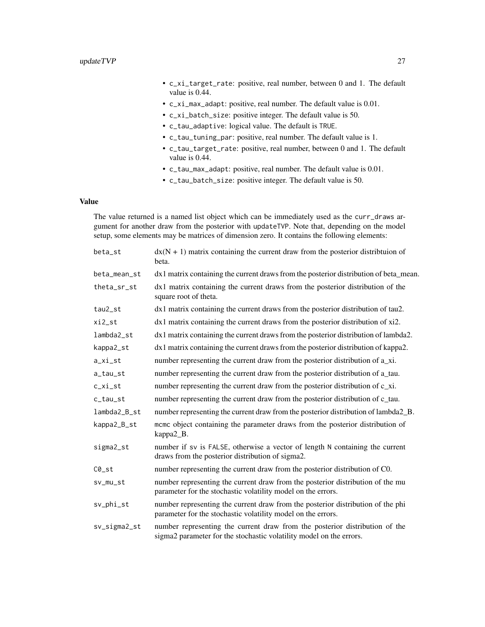- c\_xi\_target\_rate: positive, real number, between 0 and 1. The default value is 0.44.
- c\_xi\_max\_adapt: positive, real number. The default value is 0.01.
- c\_xi\_batch\_size: positive integer. The default value is 50.
- c\_tau\_adaptive: logical value. The default is TRUE.
- c\_tau\_tuning\_par: positive, real number. The default value is 1.
- c\_tau\_target\_rate: positive, real number, between 0 and 1. The default value is 0.44.
- c\_tau\_max\_adapt: positive, real number. The default value is 0.01.
- c\_tau\_batch\_size: positive integer. The default value is 50.

#### Value

The value returned is a named list object which can be immediately used as the curr\_draws argument for another draw from the posterior with updateTVP. Note that, depending on the model setup, some elements may be matrices of dimension zero. It contains the following elements:

| beta_st      | $dx(N + 1)$ matrix containing the current draw from the posterior distribution of<br>beta.                                                         |
|--------------|----------------------------------------------------------------------------------------------------------------------------------------------------|
| beta_mean_st | dx1 matrix containing the current draws from the posterior distribution of beta_mean.                                                              |
| theta_sr_st  | dx1 matrix containing the current draws from the posterior distribution of the<br>square root of theta.                                            |
| tau2_st      | dx1 matrix containing the current draws from the posterior distribution of tau2.                                                                   |
| $xi2_st$     | dx1 matrix containing the current draws from the posterior distribution of xi2.                                                                    |
| lambda2_st   | dx1 matrix containing the current draws from the posterior distribution of lambda2.                                                                |
| kappa2_st    | dx1 matrix containing the current draws from the posterior distribution of kappa2.                                                                 |
| a_xi_st      | number representing the current draw from the posterior distribution of a_xi.                                                                      |
| a_tau_st     | number representing the current draw from the posterior distribution of a_tau.                                                                     |
| $c_x$ i_st   | number representing the current draw from the posterior distribution of c_xi.                                                                      |
| c_tau_st     | number representing the current draw from the posterior distribution of c_tau.                                                                     |
| lambda2_B_st | number representing the current draw from the posterior distribution of lambda2_B.                                                                 |
| kappa2_B_st  | mcmc object containing the parameter draws from the posterior distribution of<br>kappa2_B.                                                         |
| sigma2_st    | number if sv is FALSE, otherwise a vector of length N containing the current<br>draws from the posterior distribution of sigma2.                   |
| $CO\_st$     | number representing the current draw from the posterior distribution of C0.                                                                        |
| sv_mu_st     | number representing the current draw from the posterior distribution of the mu<br>parameter for the stochastic volatility model on the errors.     |
| sv_phi_st    | number representing the current draw from the posterior distribution of the phi<br>parameter for the stochastic volatility model on the errors.    |
| sv_sigma2_st | number representing the current draw from the posterior distribution of the<br>sigma2 parameter for the stochastic volatility model on the errors. |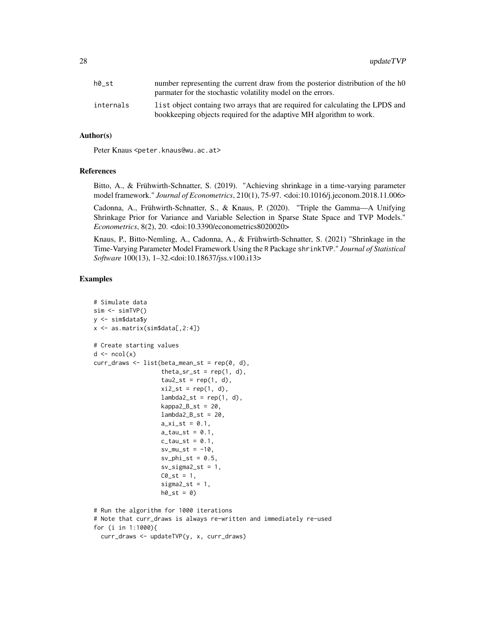| h0 st     | number representing the current draw from the posterior distribution of the h0 |
|-----------|--------------------------------------------------------------------------------|
|           | parmater for the stochastic volatility model on the errors.                    |
| internals | list object containg two arrays that are required for calculating the LPDS and |
|           | bookkeeping objects required for the adaptive MH algorithm to work.            |

#### Author(s)

Peter Knaus <peter.knaus@wu.ac.at>

#### References

Bitto, A., & Frühwirth-Schnatter, S. (2019). "Achieving shrinkage in a time-varying parameter model framework." *Journal of Econometrics*, 210(1), 75-97. <doi:10.1016/j.jeconom.2018.11.006>

Cadonna, A., Frühwirth-Schnatter, S., & Knaus, P. (2020). "Triple the Gamma—A Unifying Shrinkage Prior for Variance and Variable Selection in Sparse State Space and TVP Models." *Econometrics*, 8(2), 20. <doi:10.3390/econometrics8020020>

Knaus, P., Bitto-Nemling, A., Cadonna, A., & Frühwirth-Schnatter, S. (2021) "Shrinkage in the Time-Varying Parameter Model Framework Using the R Package shrinkTVP." *Journal of Statistical Software* 100(13), 1–32.<doi:10.18637/jss.v100.i13>

#### Examples

```
# Simulate data
sim < -simTVP()y <- sim$data$y
x <- as.matrix(sim$data[,2:4])
# Create starting values
d \leftarrow \text{ncol}(x)curr_draws <- list(beta_mean_st = rep(0, d),
                   theta_sr_st = rep(1, d),
                   tau_5 = rep(1, d),
                   xi2_st = rep(1, d),lambda2_st = rep(1, d),kappa2_B_st = 20,
                   lambda2_B_st = 20,
                   a_x = 0.1,
                   a\_tau\_st = 0.1,
                   c_{\text{1}}sv_mu_st = -10,
                   sv\_phi\_st = 0.5,
                   sv\_sigma2_st = 1,
                   CO_5t = 1,
                   signa2_st = 1,
                   h0_st = 0)# Run the algorithm for 1000 iterations
# Note that curr_draws is always re-written and immediately re-used
for (i in 1:1000){
  curr_draws <- updateTVP(y, x, curr_draws)
```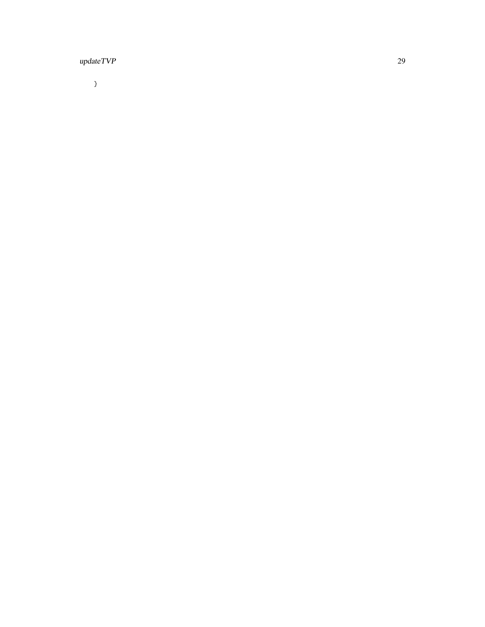# update TVP 29

}